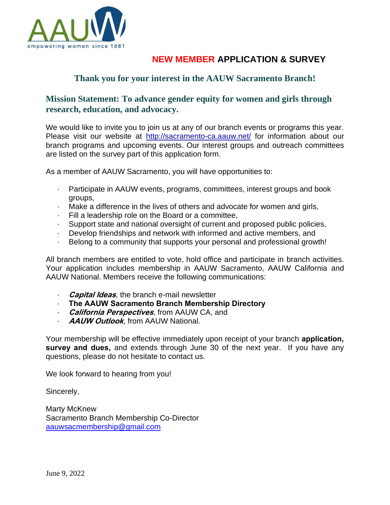

## **NEW MEMBER APPLICATION & SURVEY**

## **Thank you for your interest in the AAUW Sacramento Branch!**

### **Mission Statement: To advance gender equity for women and girls through research, education, and advocacy.**

We would like to invite you to join us at any of our branch events or programs this year. Please visit our website at http://sacramento-ca.aauw.net/ for information about our branch programs and upcoming events. Our interest groups and outreach committees are listed on the survey part of this application form.

As a member of AAUW Sacramento, you will have opportunities to:

- · Participate in AAUW events, programs, committees, interest groups and book groups,
- · Make a difference in the lives of others and advocate for women and girls,
- · Fill a leadership role on the Board or a committee,
- · Support state and national oversight of current and proposed public policies,
- · Develop friendships and network with informed and active members, and
- Belong to a community that supports your personal and professional growth!

All branch members are entitled to vote, hold office and participate in branch activities. Your application includes membership in AAUW Sacramento, AAUW California and AAUW National. Members receive the following communications:

- · **Capital Ideas**, the branch e-mail newsletter
- · **The AAUW Sacramento Branch Membership Directory**
- · **California Perspectives**, from AAUW CA, and
- · **AAUW Outlook**, from AAUW National.

Your membership will be effective immediately upon receipt of your branch **application, survey and dues,** and extends through June 30 of the next year. If you have any questions, please do not hesitate to contact us.

We look forward to hearing from you!

Sincerely,

Marty McKnew Sacramento Branch Membership Co-Director [aauwsacmembership@gmail.com](mailto:aauwsacmembership@gmail.com)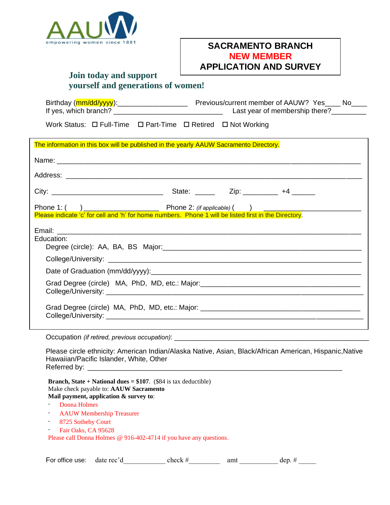

### **SACRAMENTO BRANCH NEW MEMBER APPLICATION AND SURVEY**

### **Join today and support yourself and generations of women!**

| If yes, which branch?                                                                  | Last year of membership there?                                                    |  |  |
|----------------------------------------------------------------------------------------|-----------------------------------------------------------------------------------|--|--|
| Work Status: $\Box$ Full-Time $\Box$ Part-Time $\Box$ Retired $\Box$ Not Working       |                                                                                   |  |  |
| The information in this box will be published in the yearly AAUW Sacramento Directory. |                                                                                   |  |  |
|                                                                                        |                                                                                   |  |  |
|                                                                                        |                                                                                   |  |  |
|                                                                                        |                                                                                   |  |  |
|                                                                                        |                                                                                   |  |  |
|                                                                                        |                                                                                   |  |  |
|                                                                                        |                                                                                   |  |  |
| Education:                                                                             |                                                                                   |  |  |
|                                                                                        |                                                                                   |  |  |
|                                                                                        |                                                                                   |  |  |
|                                                                                        | Grad Degree (circle) MA, PhD, MD, etc.: Major:__________________________________  |  |  |
|                                                                                        | Grad Degree (circle) MA, PhD, MD, etc.: Major: __________________________________ |  |  |

Occupation *(if retired, previous occupation)*:

Please circle ethnicity: American Indian/Alaska Native, Asian, Black/African American, Hispanic,Native Hawaiian/Pacific Islander, White, Other Referred by: \_\_\_\_\_\_\_\_\_\_\_\_\_\_\_\_\_\_\_\_\_\_\_\_\_\_\_\_\_\_\_\_\_\_\_\_\_\_\_\_\_\_\_\_\_\_\_\_\_\_\_\_\_\_\_\_\_\_\_\_\_\_\_\_

**Branch, State + National dues = \$107**. (\$84 is tax deductible) Make check payable to: **AAUW Sacramento Mail payment, application & survey to**:

· Donna Holmes

- · AAUW Membership Treasurer
- · 8725 Sotheby Court
- · Fair Oaks, CA 95628

Please call Donna Holmes @ 916-402-4714 if you have any questions.

| -<br>office use:<br>For. | лакс<br>. | ≏neck | um. |  |
|--------------------------|-----------|-------|-----|--|
|                          |           |       |     |  |